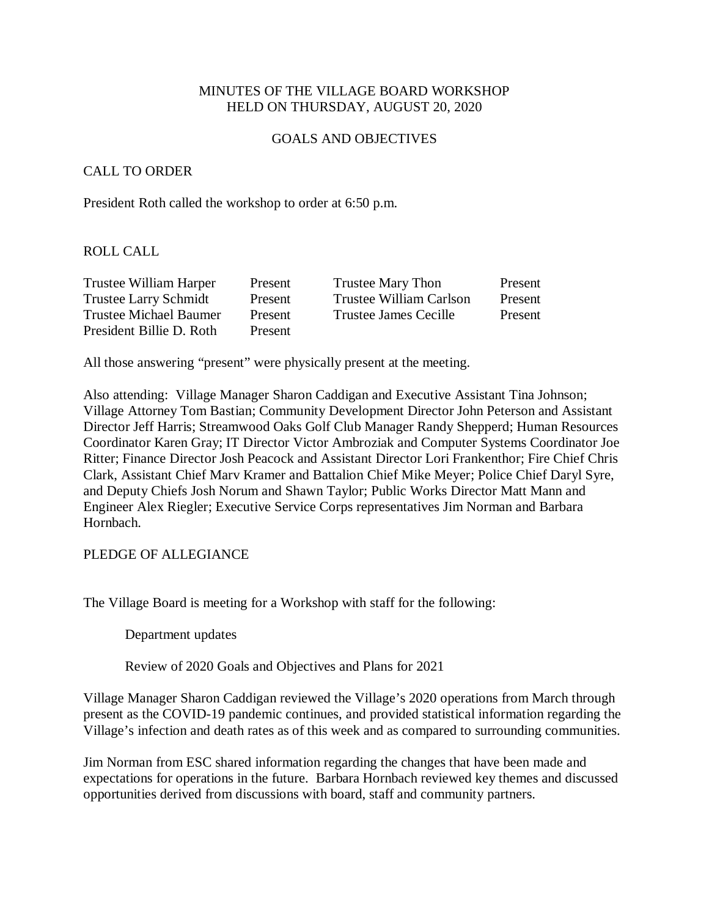### MINUTES OF THE VILLAGE BOARD WORKSHOP HELD ON THURSDAY, AUGUST 20, 2020

#### GOALS AND OBJECTIVES

### CALL TO ORDER

President Roth called the workshop to order at 6:50 p.m.

#### ROLL CALL

| Trustee William Harper       | Present | <b>Trustee Mary Thon</b> | Present |
|------------------------------|---------|--------------------------|---------|
| <b>Trustee Larry Schmidt</b> | Present | Trustee William Carlson  | Present |
| Trustee Michael Baumer       | Present | Trustee James Cecille    | Present |
| President Billie D. Roth     | Present |                          |         |

All those answering "present" were physically present at the meeting.

Also attending: Village Manager Sharon Caddigan and Executive Assistant Tina Johnson; Village Attorney Tom Bastian; Community Development Director John Peterson and Assistant Director Jeff Harris; Streamwood Oaks Golf Club Manager Randy Shepperd; Human Resources Coordinator Karen Gray; IT Director Victor Ambroziak and Computer Systems Coordinator Joe Ritter; Finance Director Josh Peacock and Assistant Director Lori Frankenthor; Fire Chief Chris Clark, Assistant Chief Marv Kramer and Battalion Chief Mike Meyer; Police Chief Daryl Syre, and Deputy Chiefs Josh Norum and Shawn Taylor; Public Works Director Matt Mann and Engineer Alex Riegler; Executive Service Corps representatives Jim Norman and Barbara Hornbach.

#### PLEDGE OF ALLEGIANCE

The Village Board is meeting for a Workshop with staff for the following:

Department updates

Review of 2020 Goals and Objectives and Plans for 2021

Village Manager Sharon Caddigan reviewed the Village's 2020 operations from March through present as the COVID-19 pandemic continues, and provided statistical information regarding the Village's infection and death rates as of this week and as compared to surrounding communities.

Jim Norman from ESC shared information regarding the changes that have been made and expectations for operations in the future. Barbara Hornbach reviewed key themes and discussed opportunities derived from discussions with board, staff and community partners.